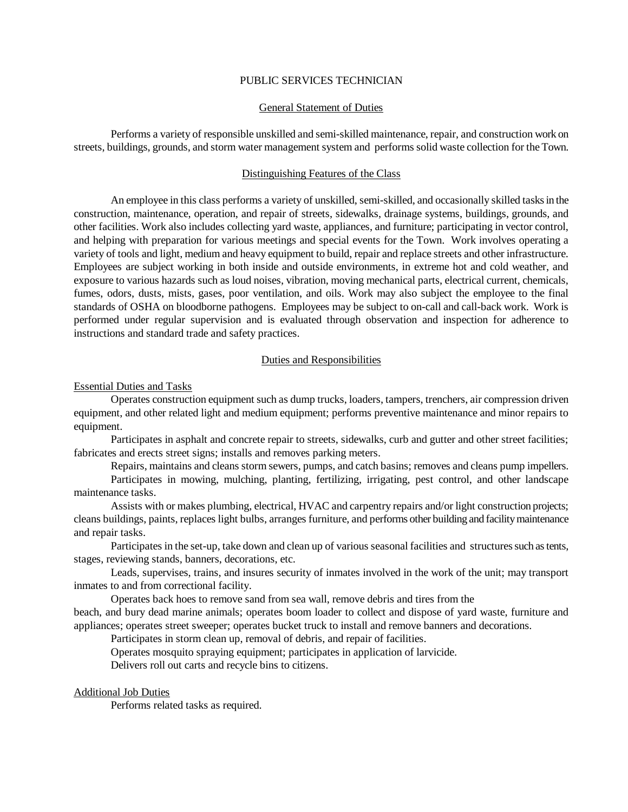# PUBLIC SERVICES TECHNICIAN

# General Statement of Duties

Performs a variety of responsible unskilled and semi-skilled maintenance, repair, and construction work on streets, buildings, grounds, and storm water management system and performs solid waste collection for the Town.

## Distinguishing Features of the Class

An employee in this class performs a variety of unskilled, semi-skilled, and occasionally skilled tasks in the construction, maintenance, operation, and repair of streets, sidewalks, drainage systems, buildings, grounds, and other facilities. Work also includes collecting yard waste, appliances, and furniture; participating in vector control, and helping with preparation for various meetings and special events for the Town. Work involves operating a variety of tools and light, medium and heavy equipment to build, repair and replace streets and other infrastructure. Employees are subject working in both inside and outside environments, in extreme hot and cold weather, and exposure to various hazards such as loud noises, vibration, moving mechanical parts, electrical current, chemicals, fumes, odors, dusts, mists, gases, poor ventilation, and oils. Work may also subject the employee to the final standards of OSHA on bloodborne pathogens. Employees may be subject to on-call and call-back work. Work is performed under regular supervision and is evaluated through observation and inspection for adherence to instructions and standard trade and safety practices.

## Duties and Responsibilities

#### Essential Duties and Tasks

Operates construction equipment such as dump trucks, loaders, tampers, trenchers, air compression driven equipment, and other related light and medium equipment; performs preventive maintenance and minor repairs to equipment.

Participates in asphalt and concrete repair to streets, sidewalks, curb and gutter and other street facilities; fabricates and erects street signs; installs and removes parking meters.

Repairs, maintains and cleans storm sewers, pumps, and catch basins; removes and cleans pump impellers.

Participates in mowing, mulching, planting, fertilizing, irrigating, pest control, and other landscape maintenance tasks.

Assists with or makes plumbing, electrical, HVAC and carpentry repairs and/or light construction projects; cleans buildings, paints, replaces light bulbs, arranges furniture, and performs other building and facility maintenance and repair tasks.

Participates in the set-up, take down and clean up of various seasonal facilities and structures such as tents, stages, reviewing stands, banners, decorations, etc.

Leads, supervises, trains, and insures security of inmates involved in the work of the unit; may transport inmates to and from correctional facility.

Operates back hoes to remove sand from sea wall, remove debris and tires from the beach, and bury dead marine animals; operates boom loader to collect and dispose of yard waste, furniture and appliances; operates street sweeper; operates bucket truck to install and remove banners and decorations.

Participates in storm clean up, removal of debris, and repair of facilities.

Operates mosquito spraying equipment; participates in application of larvicide.

Delivers roll out carts and recycle bins to citizens.

### Additional Job Duties

Performs related tasks as required.